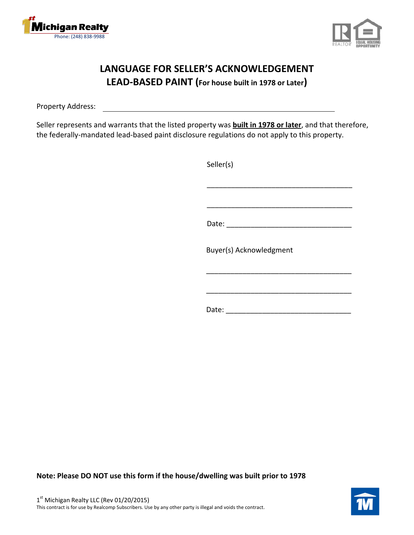



## **LANGUAGE FOR SELLER'S ACKNOWLEDGEMENT LEAD-BASED PAINT (For house built in 1978 or Later)**

Property Address:

Seller represents and warrants that the listed property was **built in 1978 or later**, and that therefore, the federally-mandated lead-based paint disclosure regulations do not apply to this property.

| Seller(s) |                          |  |  |
|-----------|--------------------------|--|--|
|           |                          |  |  |
|           | Date: __________________ |  |  |
|           | Buyer(s) Acknowledgment  |  |  |
|           |                          |  |  |
| Date:     |                          |  |  |

**Note: Please DO NOT use this form if the house/dwelling was built prior to 1978**